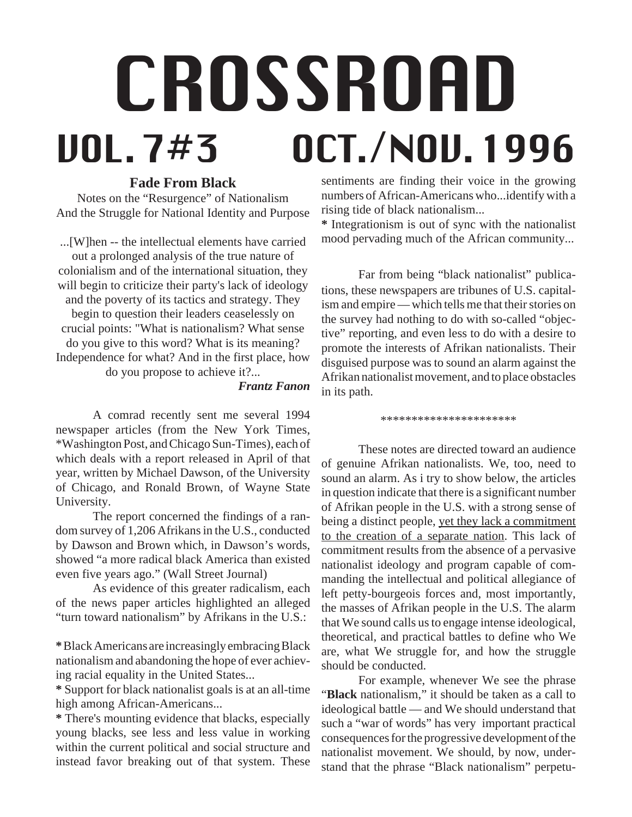# CROSSROAD VOL. 7#3 OCT./NOV. 1996

# **Fade From Black**

Notes on the "Resurgence" of Nationalism And the Struggle for National Identity and Purpose

...[W]hen -- the intellectual elements have carried out a prolonged analysis of the true nature of colonialism and of the international situation, they will begin to criticize their party's lack of ideology and the poverty of its tactics and strategy. They begin to question their leaders ceaselessly on crucial points: "What is nationalism? What sense do you give to this word? What is its meaning? Independence for what? And in the first place, how do you propose to achieve it?...

*Frantz Fanon*

A comrad recently sent me several 1994 newspaper articles (from the New York Times, \*Washington Post, and Chicago Sun-Times), each of which deals with a report released in April of that year, written by Michael Dawson, of the University of Chicago, and Ronald Brown, of Wayne State University.

The report concerned the findings of a random survey of 1,206 Afrikans in the U.S., conducted by Dawson and Brown which, in Dawson's words, showed "a more radical black America than existed even five years ago." (Wall Street Journal)

As evidence of this greater radicalism, each of the news paper articles highlighted an alleged "turn toward nationalism" by Afrikans in the U.S.:

**\*** Black Americans are increasingly embracing Black nationalism and abandoning the hope of ever achieving racial equality in the United States...

**\*** Support for black nationalist goals is at an all-time high among African-Americans...

**\*** There's mounting evidence that blacks, especially young blacks, see less and less value in working within the current political and social structure and instead favor breaking out of that system. These

sentiments are finding their voice in the growing numbers of African-Americans who...identify with a rising tide of black nationalism...

**\*** Integrationism is out of sync with the nationalist mood pervading much of the African community...

Far from being "black nationalist" publications, these newspapers are tribunes of U.S. capitalism and empire — which tells me that their stories on the survey had nothing to do with so-called "objective" reporting, and even less to do with a desire to promote the interests of Afrikan nationalists. Their disguised purpose was to sound an alarm against the Afrikan nationalist movement, and to place obstacles in its path.

\*\*\*\*\*\*\*\*\*\*\*\*\*\*\*\*\*\*\*\*\*

These notes are directed toward an audience of genuine Afrikan nationalists. We, too, need to sound an alarm. As i try to show below, the articles in question indicate that there is a significant number of Afrikan people in the U.S. with a strong sense of being a distinct people, yet they lack a commitment to the creation of a separate nation. This lack of commitment results from the absence of a pervasive nationalist ideology and program capable of commanding the intellectual and political allegiance of left petty-bourgeois forces and, most importantly, the masses of Afrikan people in the U.S. The alarm that We sound calls us to engage intense ideological, theoretical, and practical battles to define who We are, what We struggle for, and how the struggle should be conducted.

For example, whenever We see the phrase "**Black** nationalism," it should be taken as a call to ideological battle — and We should understand that such a "war of words" has very important practical consequences for the progressive development of the nationalist movement. We should, by now, understand that the phrase "Black nationalism" perpetu-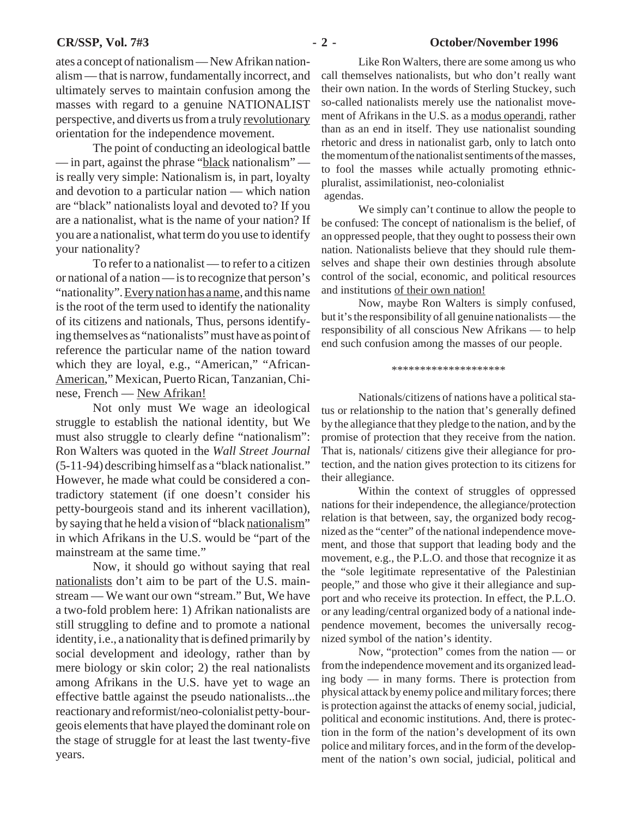#### **CR/SSP, Vol. 7#3** - 2 - October/November 1996

ates a concept of nationalism — New Afrikan nationalism — that is narrow, fundamentally incorrect, and ultimately serves to maintain confusion among the masses with regard to a genuine NATIONALIST perspective, and diverts us from a truly revolutionary orientation for the independence movement.

The point of conducting an ideological battle — in part, against the phrase "black nationalism" is really very simple: Nationalism is, in part, loyalty and devotion to a particular nation — which nation are "black" nationalists loyal and devoted to? If you are a nationalist, what is the name of your nation? If you are a nationalist, what term do you use to identify your nationality?

To refer to a nationalist — to refer to a citizen or national of a nation — is to recognize that person's "nationality". Every nation has a name, and this name is the root of the term used to identify the nationality of its citizens and nationals, Thus, persons identifying themselves as "nationalists" must have as point of reference the particular name of the nation toward which they are loyal, e.g., "American," "African-American," Mexican, Puerto Rican, Tanzanian, Chinese, French — New Afrikan!

Not only must We wage an ideological struggle to establish the national identity, but We must also struggle to clearly define "nationalism": Ron Walters was quoted in the *Wall Street Journal* (5-11-94) describing himself as a "black nationalist." However, he made what could be considered a contradictory statement (if one doesn't consider his petty-bourgeois stand and its inherent vacillation), by saying that he held a vision of "black nationalism" in which Afrikans in the U.S. would be "part of the mainstream at the same time."

Now, it should go without saying that real nationalists don't aim to be part of the U.S. mainstream — We want our own "stream." But, We have a two-fold problem here: 1) Afrikan nationalists are still struggling to define and to promote a national identity, i.e., a nationality that is defined primarily by social development and ideology, rather than by mere biology or skin color; 2) the real nationalists among Afrikans in the U.S. have yet to wage an effective battle against the pseudo nationalists...the reactionary and reformist/neo-colonialist petty-bourgeois elements that have played the dominant role on the stage of struggle for at least the last twenty-five years.

Like Ron Walters, there are some among us who call themselves nationalists, but who don't really want their own nation. In the words of Sterling Stuckey, such so-called nationalists merely use the nationalist movement of Afrikans in the U.S. as a modus operandi, rather than as an end in itself. They use nationalist sounding rhetoric and dress in nationalist garb, only to latch onto the momentum of the nationalist sentiments of the masses, to fool the masses while actually promoting ethnicpluralist, assimilationist, neo-colonialist agendas.

We simply can't continue to allow the people to be confused: The concept of nationalism is the belief, of an oppressed people, that they ought to possess their own nation. Nationalists believe that they should rule themselves and shape their own destinies through absolute control of the social, economic, and political resources and institutions of their own nation!

Now, maybe Ron Walters is simply confused, but it's the responsibility of all genuine nationalists — the responsibility of all conscious New Afrikans — to help end such confusion among the masses of our people.

\*\*\*\*\*\*\*\*\*\*\*\*\*\*\*\*\*\*\*\*

Nationals/citizens of nations have a political status or relationship to the nation that's generally defined by the allegiance that they pledge to the nation, and by the promise of protection that they receive from the nation. That is, nationals/ citizens give their allegiance for protection, and the nation gives protection to its citizens for their allegiance.

Within the context of struggles of oppressed nations for their independence, the allegiance/protection relation is that between, say, the organized body recognized as the "center" of the national independence movement, and those that support that leading body and the movement, e.g., the P.L.O. and those that recognize it as the "sole legitimate representative of the Palestinian people," and those who give it their allegiance and support and who receive its protection. In effect, the P.L.O. or any leading/central organized body of a national independence movement, becomes the universally recognized symbol of the nation's identity.

Now, "protection" comes from the nation — or from the independence movement and its organized leading body — in many forms. There is protection from physical attack by enemy police and military forces; there is protection against the attacks of enemy social, judicial, political and economic institutions. And, there is protection in the form of the nation's development of its own police and military forces, and in the form of the development of the nation's own social, judicial, political and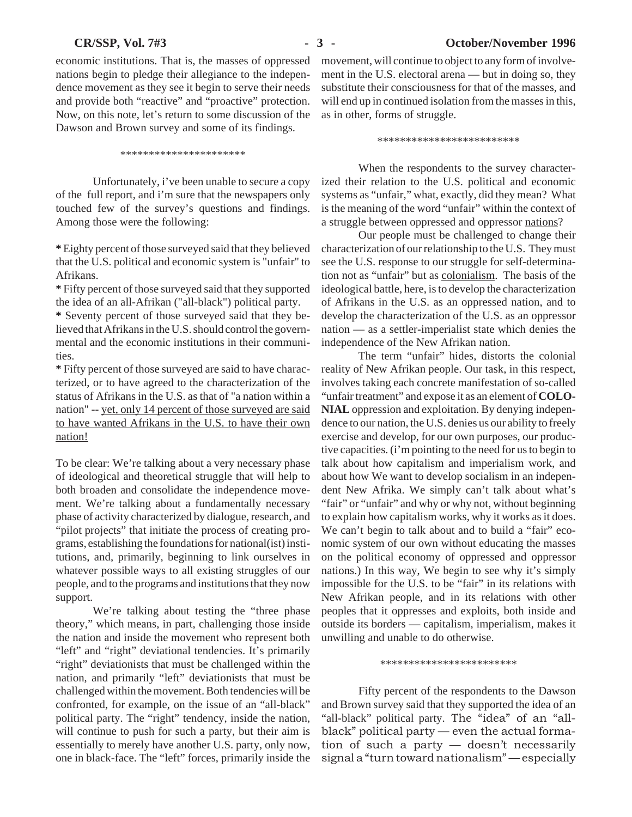economic institutions. That is, the masses of oppressed nations begin to pledge their allegiance to the independence movement as they see it begin to serve their needs and provide both "reactive" and "proactive" protection. Now, on this note, let's return to some discussion of the Dawson and Brown survey and some of its findings.

\*\*\*\*\*\*\*\*\*\*\*\*\*\*\*\*\*\*\*\*\*\*

Unfortunately, i've been unable to secure a copy of the full report, and i'm sure that the newspapers only touched few of the survey's questions and findings. Among those were the following:

**\*** Eighty percent of those surveyed said that they believed that the U.S. political and economic system is "unfair" to Afrikans.

**\*** Fifty percent of those surveyed said that they supported the idea of an all-Afrikan ("all-black") political party.

**\*** Seventy percent of those surveyed said that they believed that Afrikans in the U.S. should control the governmental and the economic institutions in their communities.

**\*** Fifty percent of those surveyed are said to have characterized, or to have agreed to the characterization of the status of Afrikans in the U.S. as that of "a nation within a nation" -- yet, only 14 percent of those surveyed are said to have wanted Afrikans in the U.S. to have their own nation!

To be clear: We're talking about a very necessary phase of ideological and theoretical struggle that will help to both broaden and consolidate the independence movement. We're talking about a fundamentally necessary phase of activity characterized by dialogue, research, and "pilot projects" that initiate the process of creating programs, establishing the foundations for national(ist) institutions, and, primarily, beginning to link ourselves in whatever possible ways to all existing struggles of our people, and to the programs and institutions that they now support.

We're talking about testing the "three phase theory," which means, in part, challenging those inside the nation and inside the movement who represent both "left" and "right" deviational tendencies. It's primarily "right" deviationists that must be challenged within the nation, and primarily "left" deviationists that must be challenged within the movement. Both tendencies will be confronted, for example, on the issue of an "all-black" political party. The "right" tendency, inside the nation, will continue to push for such a party, but their aim is essentially to merely have another U.S. party, only now, one in black-face. The "left" forces, primarily inside the

movement, will continue to object to any form of involvement in the U.S. electoral arena — but in doing so, they substitute their consciousness for that of the masses, and will end up in continued isolation from the masses in this, as in other, forms of struggle.

\*\*\*\*\*\*\*\*\*\*\*\*\*\*\*\*\*\*\*\*\*\*\*\*\*

When the respondents to the survey characterized their relation to the U.S. political and economic systems as "unfair," what, exactly, did they mean? What is the meaning of the word "unfair" within the context of a struggle between oppressed and oppressor nations?

Our people must be challenged to change their characterization of our relationship to the U.S. They must see the U.S. response to our struggle for self-determination not as "unfair" but as colonialism. The basis of the ideological battle, here, is to develop the characterization of Afrikans in the U.S. as an oppressed nation, and to develop the characterization of the U.S. as an oppressor nation — as a settler-imperialist state which denies the independence of the New Afrikan nation.

The term "unfair" hides, distorts the colonial reality of New Afrikan people. Our task, in this respect, involves taking each concrete manifestation of so-called "unfair treatment" and expose it as an element of **COLO-NIAL** oppression and exploitation. By denying independence to our nation, the U.S. denies us our ability to freely exercise and develop, for our own purposes, our productive capacities. (i'm pointing to the need for us to begin to talk about how capitalism and imperialism work, and about how We want to develop socialism in an independent New Afrika. We simply can't talk about what's "fair" or "unfair" and why or why not, without beginning to explain how capitalism works, why it works as it does. We can't begin to talk about and to build a "fair" economic system of our own without educating the masses on the political economy of oppressed and oppressor nations.) In this way, We begin to see why it's simply impossible for the U.S. to be "fair" in its relations with New Afrikan people, and in its relations with other peoples that it oppresses and exploits, both inside and outside its borders — capitalism, imperialism, makes it unwilling and unable to do otherwise.

\*\*\*\*\*\*\*\*\*\*\*\*\*\*\*\*\*\*\*\*\*\*\*\*

Fifty percent of the respondents to the Dawson and Brown survey said that they supported the idea of an "all-black" political party. The "idea" of an "allblack" political party — even the actual formation of such a party — doesn't necessarily signal a "turn toward nationalism" — especially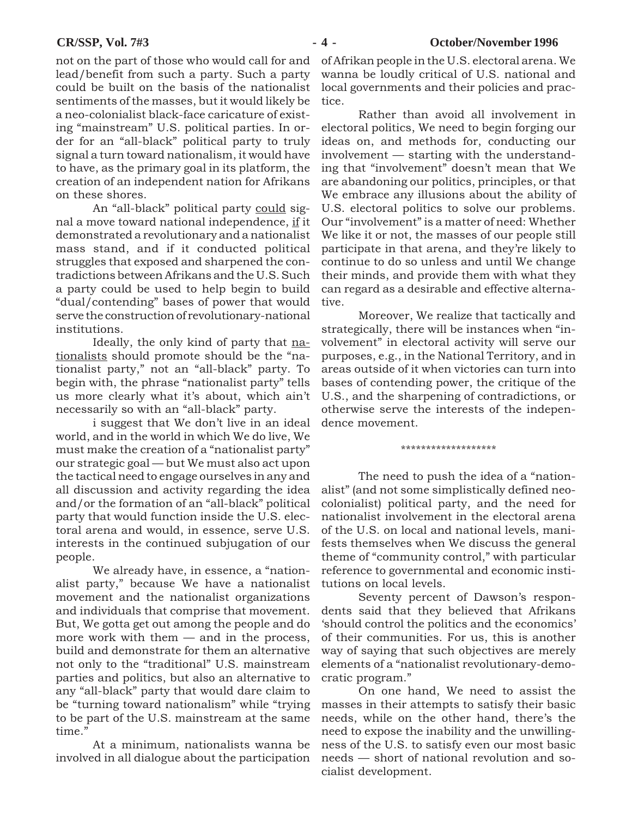not on the part of those who would call for and lead/benefit from such a party. Such a party could be built on the basis of the nationalist sentiments of the masses, but it would likely be a neo-colonialist black-face caricature of existing "mainstream" U.S. political parties. In order for an "all-black" political party to truly signal a turn toward nationalism, it would have to have, as the primary goal in its platform, the creation of an independent nation for Afrikans on these shores.

An "all-black" political party could signal a move toward national independence, if it demonstrated a revolutionary and a nationalist mass stand, and if it conducted political struggles that exposed and sharpened the contradictions between Afrikans and the U.S. Such a party could be used to help begin to build "dual/contending" bases of power that would serve the construction of revolutionary-national institutions.

Ideally, the only kind of party that nationalists should promote should be the "nationalist party," not an "all-black" party. To begin with, the phrase "nationalist party" tells us more clearly what it's about, which ain't necessarily so with an "all-black" party.

i suggest that We don't live in an ideal world, and in the world in which We do live, We must make the creation of a "nationalist party" our strategic goal — but We must also act upon the tactical need to engage ourselves in any and all discussion and activity regarding the idea and/or the formation of an "all-black" political party that would function inside the U.S. electoral arena and would, in essence, serve U.S. interests in the continued subjugation of our people.

We already have, in essence, a "nationalist party," because We have a nationalist movement and the nationalist organizations and individuals that comprise that movement. But, We gotta get out among the people and do more work with them — and in the process, build and demonstrate for them an alternative not only to the "traditional" U.S. mainstream parties and politics, but also an alternative to any "all-black" party that would dare claim to be "turning toward nationalism" while "trying to be part of the U.S. mainstream at the same time."

At a minimum, nationalists wanna be involved in all dialogue about the participation of Afrikan people in the U.S. electoral arena. We wanna be loudly critical of U.S. national and local governments and their policies and practice.

Rather than avoid all involvement in electoral politics, We need to begin forging our ideas on, and methods for, conducting our involvement — starting with the understanding that "involvement" doesn't mean that We are abandoning our politics, principles, or that We embrace any illusions about the ability of U.S. electoral politics to solve our problems. Our "involvement" is a matter of need: Whether We like it or not, the masses of our people still participate in that arena, and they're likely to continue to do so unless and until We change their minds, and provide them with what they can regard as a desirable and effective alternative.

Moreover, We realize that tactically and strategically, there will be instances when "involvement" in electoral activity will serve our purposes, e.g., in the National Territory, and in areas outside of it when victories can turn into bases of contending power, the critique of the U.S., and the sharpening of contradictions, or otherwise serve the interests of the independence movement.

\*\*\*\*\*\*\*\*\*\*\*\*\*\*\*\*\*\*\*

The need to push the idea of a "nationalist" (and not some simplistically defined neocolonialist) political party, and the need for nationalist involvement in the electoral arena of the U.S. on local and national levels, manifests themselves when We discuss the general theme of "community control," with particular reference to governmental and economic institutions on local levels.

Seventy percent of Dawson's respondents said that they believed that Afrikans 'should control the politics and the economics' of their communities. For us, this is another way of saying that such objectives are merely elements of a "nationalist revolutionary-democratic program."

On one hand, We need to assist the masses in their attempts to satisfy their basic needs, while on the other hand, there's the need to expose the inability and the unwillingness of the U.S. to satisfy even our most basic needs — short of national revolution and socialist development.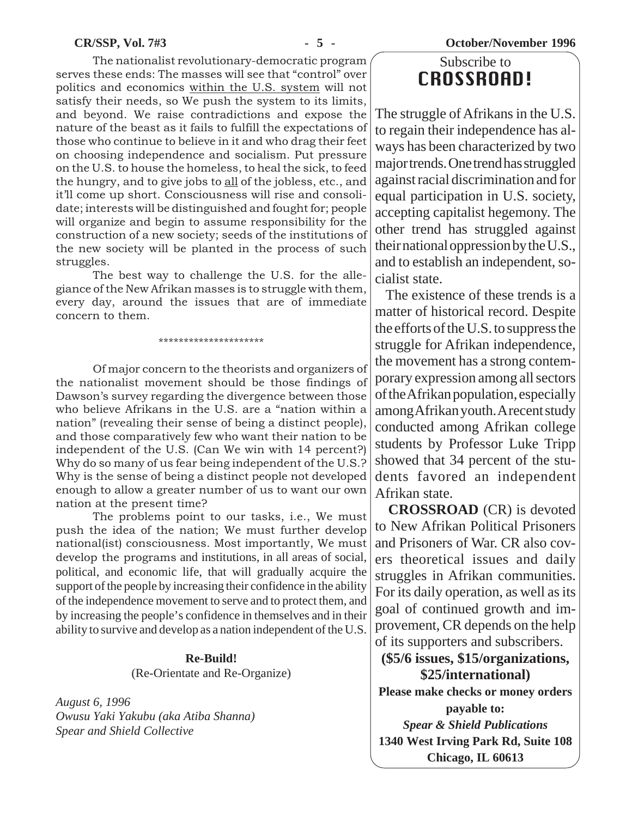**CR/SSP, Vol. 7#3 - 5 - October/November 1996**

The nationalist revolutionary-democratic program serves these ends: The masses will see that "control" over politics and economics within the U.S. system will not satisfy their needs, so We push the system to its limits, and beyond. We raise contradictions and expose the nature of the beast as it fails to fulfill the expectations of those who continue to believe in it and who drag their feet on choosing independence and socialism. Put pressure on the U.S. to house the homeless, to heal the sick, to feed the hungry, and to give jobs to all of the jobless, etc., and it'll come up short. Consciousness will rise and consolidate; interests will be distinguished and fought for; people will organize and begin to assume responsibility for the construction of a new society; seeds of the institutions of the new society will be planted in the process of such struggles.

The best way to challenge the U.S. for the allegiance of the New Afrikan masses is to struggle with them, every day, around the issues that are of immediate concern to them.

\*\*\*\*\*\*\*\*\*\*\*\*\*\*\*\*\*\*\*\*\*

Of major concern to the theorists and organizers of the nationalist movement should be those findings of Dawson's survey regarding the divergence between those who believe Afrikans in the U.S. are a "nation within a nation" (revealing their sense of being a distinct people), and those comparatively few who want their nation to be independent of the U.S. (Can We win with 14 percent?) Why do so many of us fear being independent of the U.S.? Why is the sense of being a distinct people not developed enough to allow a greater number of us to want our own nation at the present time?

The problems point to our tasks, i.e., We must push the idea of the nation; We must further develop national(ist) consciousness. Most importantly, We must develop the programs and institutions, in all areas of social, political, and economic life, that will gradually acquire the support of the people by increasing their confidence in the ability of the independence movement to serve and to protect them, and by increasing the people's confidence in themselves and in their ability to survive and develop as a nation independent of the U.S.

## **Re-Build!**

(Re-Orientate and Re-Organize)

*August 6, 1996 Owusu Yaki Yakubu (aka Atiba Shanna) Spear and Shield Collective*

# Subscribe to CROSSROAD!

The struggle of Afrikans in the U.S. to regain their independence has always has been characterized by two major trends. One trend has struggled against racial discrimination and for equal participation in U.S. society, accepting capitalist hegemony. The other trend has struggled against their national oppression by the U.S., and to establish an independent, socialist state.

 The existence of these trends is a matter of historical record. Despite the efforts of the U.S. to suppress the struggle for Afrikan independence, the movement has a strong contemporary expression among all sectors of the Afrikan population, especially among Afrikan youth. A recent study conducted among Afrikan college students by Professor Luke Tripp showed that 34 percent of the students favored an independent Afrikan state.

 **CROSSROAD** (CR) is devoted to New Afrikan Political Prisoners and Prisoners of War. CR also covers theoretical issues and daily struggles in Afrikan communities. For its daily operation, as well as its goal of continued growth and improvement, CR depends on the help of its supporters and subscribers.

**(\$5/6 issues, \$15/organizations, \$25/international)**

**Please make checks or money orders payable to:** *Spear & Shield Publications*

**1340 West Irving Park Rd, Suite 108 Chicago, IL 60613**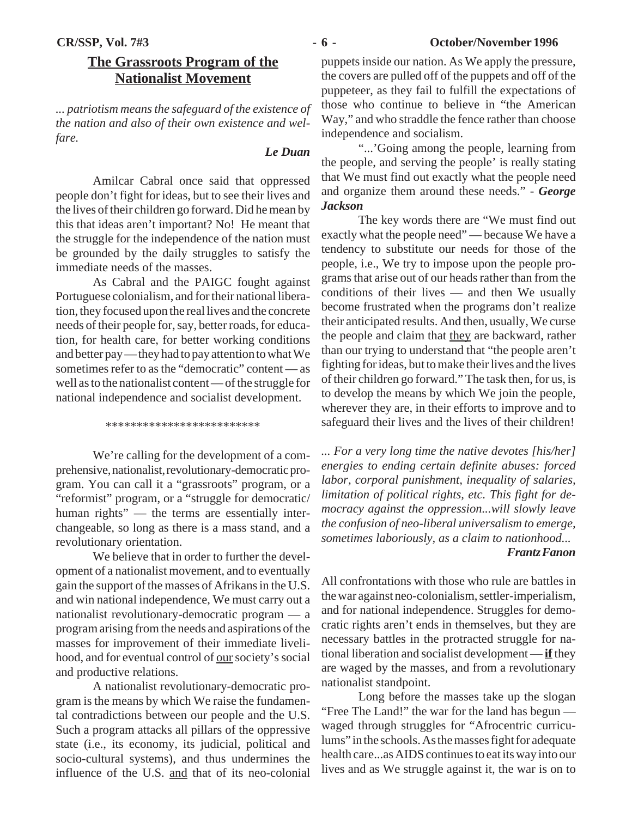# **The Grassroots Program of the Nationalist Movement**

*... patriotism means the safeguard of the existence of the nation and also of their own existence and welfare.*

## *Le Duan*

Amilcar Cabral once said that oppressed people don't fight for ideas, but to see their lives and the lives of their children go forward. Did he mean by this that ideas aren't important? No! He meant that the struggle for the independence of the nation must be grounded by the daily struggles to satisfy the immediate needs of the masses.

As Cabral and the PAIGC fought against Portuguese colonialism, and for their national liberation, they focused upon the real lives and the concrete needs of their people for, say, better roads, for education, for health care, for better working conditions and better pay — they had to pay attention to what We sometimes refer to as the "democratic" content — as well as to the nationalist content — of the struggle for national independence and socialist development.

\*\*\*\*\*\*\*\*\*\*\*\*\*\*\*\*\*\*\*\*\*\*\*\*\*

We're calling for the development of a comprehensive, nationalist, revolutionary-democratic program. You can call it a "grassroots" program, or a "reformist" program, or a "struggle for democratic/ human rights" — the terms are essentially interchangeable, so long as there is a mass stand, and a revolutionary orientation.

We believe that in order to further the development of a nationalist movement, and to eventually gain the support of the masses of Afrikans in the U.S. and win national independence, We must carry out a nationalist revolutionary-democratic program — a program arising from the needs and aspirations of the masses for improvement of their immediate livelihood, and for eventual control of our society's social and productive relations.

A nationalist revolutionary-democratic program is the means by which We raise the fundamental contradictions between our people and the U.S. Such a program attacks all pillars of the oppressive state (i.e., its economy, its judicial, political and socio-cultural systems), and thus undermines the influence of the U.S. and that of its neo-colonial

puppets inside our nation. As We apply the pressure, the covers are pulled off of the puppets and off of the puppeteer, as they fail to fulfill the expectations of those who continue to believe in "the American Way," and who straddle the fence rather than choose independence and socialism.

"...'Going among the people, learning from the people, and serving the people' is really stating that We must find out exactly what the people need and organize them around these needs." - *George Jackson*

The key words there are "We must find out exactly what the people need" — because We have a tendency to substitute our needs for those of the people, i.e., We try to impose upon the people programs that arise out of our heads rather than from the conditions of their lives — and then We usually become frustrated when the programs don't realize their anticipated results. And then, usually, We curse the people and claim that they are backward, rather than our trying to understand that "the people aren't fighting for ideas, but to make their lives and the lives of their children go forward." The task then, for us, is to develop the means by which We join the people, wherever they are, in their efforts to improve and to safeguard their lives and the lives of their children!

*... For a very long time the native devotes [his/her] energies to ending certain definite abuses: forced labor, corporal punishment, inequality of salaries, limitation of political rights, etc. This fight for democracy against the oppression...will slowly leave the confusion of neo-liberal universalism to emerge, sometimes laboriously, as a claim to nationhood...*

# *Frantz Fanon*

All confrontations with those who rule are battles in the war against neo-colonialism, settler-imperialism, and for national independence. Struggles for democratic rights aren't ends in themselves, but they are necessary battles in the protracted struggle for national liberation and socialist development — **if** they are waged by the masses, and from a revolutionary nationalist standpoint.

Long before the masses take up the slogan "Free The Land!" the war for the land has begun waged through struggles for "Afrocentric curriculums" in the schools. As the masses fight for adequate health care...as AIDS continues to eat its way into our lives and as We struggle against it, the war is on to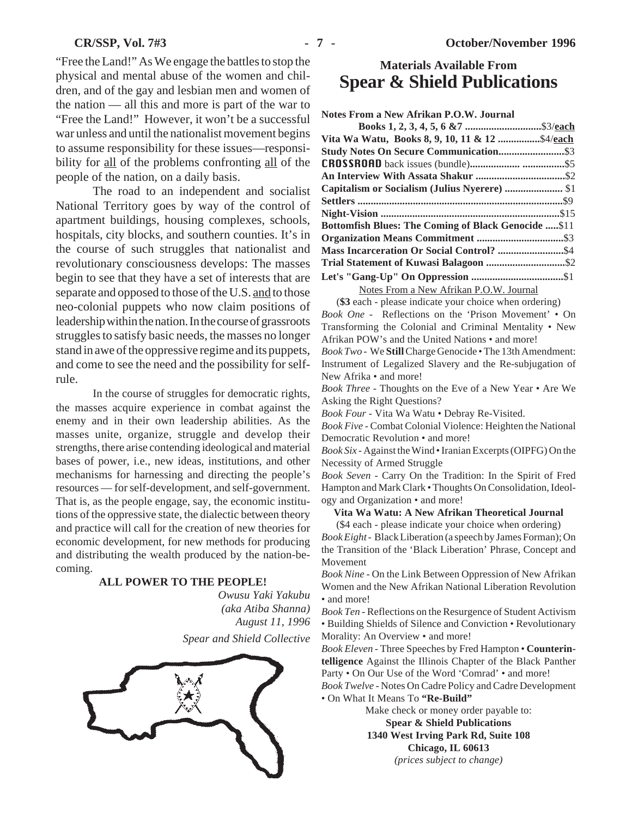"Free the Land!" As We engage the battles to stop the physical and mental abuse of the women and children, and of the gay and lesbian men and women of the nation — all this and more is part of the war to "Free the Land!" However, it won't be a successful war unless and until the nationalist movement begins to assume responsibility for these issues—responsibility for all of the problems confronting all of the people of the nation, on a daily basis.

The road to an independent and socialist National Territory goes by way of the control of apartment buildings, housing complexes, schools, hospitals, city blocks, and southern counties. It's in the course of such struggles that nationalist and revolutionary consciousness develops: The masses begin to see that they have a set of interests that are separate and opposed to those of the U.S. and to those neo-colonial puppets who now claim positions of leadership within the nation. In the course of grassroots struggles to satisfy basic needs, the masses no longer stand in awe of the oppressive regime and its puppets, and come to see the need and the possibility for selfrule.

In the course of struggles for democratic rights, the masses acquire experience in combat against the enemy and in their own leadership abilities. As the masses unite, organize, struggle and develop their strengths, there arise contending ideological and material bases of power, i.e., new ideas, institutions, and other mechanisms for harnessing and directing the people's resources — for self-development, and self-government. That is, as the people engage, say, the economic institutions of the oppressive state, the dialectic between theory and practice will call for the creation of new theories for economic development, for new methods for producing and distributing the wealth produced by the nation-becoming.

#### **ALL POWER TO THE PEOPLE!**

*Owusu Yaki Yakubu (aka Atiba Shanna) August 11, 1996 Spear and Shield Collective*



# **Materials Available From Spear & Shield Publications**

**Notes From a New Afrikan P.O.W. Journal**

| Vita Wa Watu, Books 8, 9, 10, 11 & 12 \$4/each              |  |
|-------------------------------------------------------------|--|
|                                                             |  |
|                                                             |  |
|                                                             |  |
| Capitalism or Socialism (Julius Nyerere)  \$1               |  |
|                                                             |  |
|                                                             |  |
| <b>Bottomfish Blues: The Coming of Black Genocide  \$11</b> |  |
|                                                             |  |
|                                                             |  |
|                                                             |  |
|                                                             |  |
|                                                             |  |

Notes From a New Afrikan P.O.W. Journal

(**\$3** each - please indicate your choice when ordering) *Book One -*Reflections on the 'Prison Movement' • On Transforming the Colonial and Criminal Mentality • New Afrikan POW's and the United Nations • and more!

*Book Two -* We **Still** Charge Genocide • The 13th Amendment: Instrument of Legalized Slavery and the Re-subjugation of New Afrika • and more!

*Book Three* - Thoughts on the Eve of a New Year • Are We Asking the Right Questions?

*Book Four* - Vita Wa Watu • Debray Re-Visited.

*Book Five* - Combat Colonial Violence: Heighten the National Democratic Revolution • and more!

*Book Six* - Against the Wind • Iranian Excerpts (OIPFG) On the Necessity of Armed Struggle

*Book Seven* - Carry On the Tradition: In the Spirit of Fred Hampton and Mark Clark • Thoughts On Consolidation, Ideology and Organization • and more!

#### **Vita Wa Watu: A New Afrikan Theoretical Journal**

(\$4 each - please indicate your choice when ordering) *Book Eight -* Black Liberation (a speech by James Forman); On the Transition of the 'Black Liberation' Phrase, Concept and Movement

*Book Nine* - On the Link Between Oppression of New Afrikan Women and the New Afrikan National Liberation Revolution • and more!

*Book Ten* - Reflections on the Resurgence of Student Activism • Building Shields of Silence and Conviction • Revolutionary Morality: An Overview • and more!

*Book Eleven* - Three Speeches by Fred Hampton • **Counterintelligence** Against the Illinois Chapter of the Black Panther Party • On Our Use of the Word 'Comrad' • and more!

*Book Twelve* - Notes On Cadre Policy and Cadre Development • On What It Means To **"Re-Build"**

Make check or money order payable to:

**Spear & Shield Publications**

**1340 West Irving Park Rd, Suite 108 Chicago, IL 60613**

*(prices subject to change)*